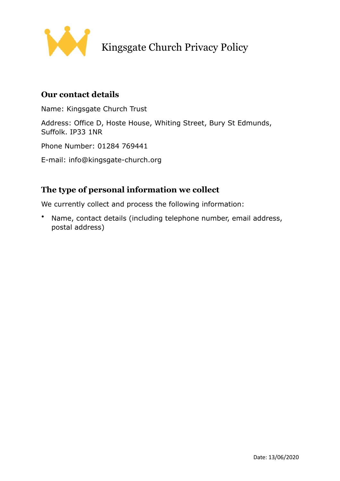

# Kingsgate Church Privacy Policy

### **Our contact details**

Name: Kingsgate Church Trust

Address: Office D, Hoste House, Whiting Street, Bury St Edmunds, Suffolk. IP33 1NR

Phone Number: 01284 769441

E-mail: info@kingsgate-church.org

## **The type of personal information we collect**

We currently collect and process the following information:

• Name, contact details (including telephone number, email address, postal address)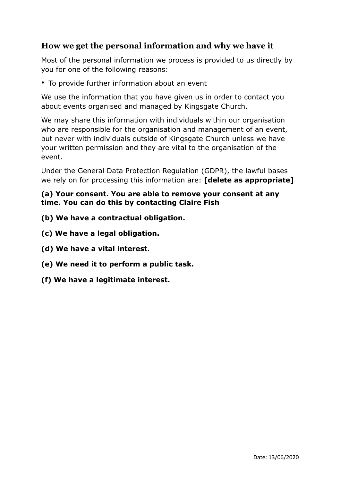## **How we get the personal information and why we have it**

Most of the personal information we process is provided to us directly by you for one of the following reasons:

• To provide further information about an event

We use the information that you have given us in order to contact you about events organised and managed by Kingsgate Church.

We may share this information with individuals within our organisation who are responsible for the organisation and management of an event, but never with individuals outside of Kingsgate Church unless we have your written permission and they are vital to the organisation of the event.

Under the General Data Protection Regulation (GDPR), the lawful bases we rely on for processing this information are: **[delete as appropriate]** 

#### **(a) Your consent. You are able to remove your consent at any time. You can do this by contacting Claire Fish**

- **(b) We have a contractual obligation.**
- **(c) We have a legal obligation.**
- **(d) We have a vital interest.**
- **(e) We need it to perform a public task.**
- **(f) We have a legitimate interest.**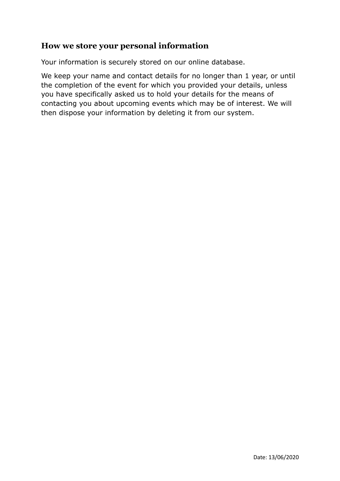## **How we store your personal information**

Your information is securely stored on our online database.

We keep your name and contact details for no longer than 1 year, or until the completion of the event for which you provided your details, unless you have specifically asked us to hold your details for the means of contacting you about upcoming events which may be of interest. We will then dispose your information by deleting it from our system.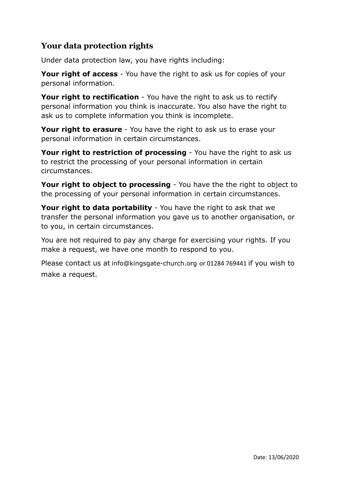# **Your data protection rights**

Under data protection law, you have rights including:

**Your right of access** - You have the right to ask us for copies of your personal information.

**Your right to rectification** - You have the right to ask us to rectify personal information you think is inaccurate. You also have the right to ask us to complete information you think is incomplete.

**Your right to erasure** - You have the right to ask us to erase your personal information in certain circumstances.

**Your right to restriction of processing** - You have the right to ask us to restrict the processing of your personal information in certain circumstances.

**Your right to object to processing** - You have the the right to object to the processing of your personal information in certain circumstances.

**Your right to data portability** - You have the right to ask that we transfer the personal information you gave us to another organisation, or to you, in certain circumstances.

You are not required to pay any charge for exercising your rights. If you make a request, we have one month to respond to you.

Please contact us at [info@kingsgate-church.org](mailto:info@kingsgate-church.org) or 01284 769441 if you wish to make a request.